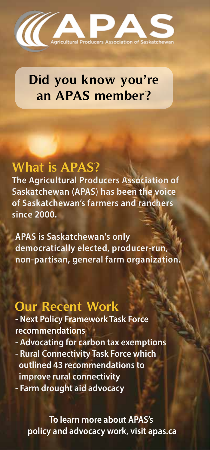

# **Did you know you're an APAS member?**

#### **What is APAS?**

The Agricultural Producers Association of Saskatchewan (APAS) has been the voice of Saskatchewan's farmers and ranchers since 2000.

**APAS is Saskatchewan's only** democratically elected, producer-run, non-partisan, general farm organization.

#### **Our Recent Work**

- Next Policy Framework Task Force recommendations

- Advocating for carbon tax exemptions - Rural Connectivity Task Force which outlined 43 recommendations to
- improve rural connectivity
- Farm drought aid advocacy

To learn more about APAS's policy and advocacy work, visit apas.ca